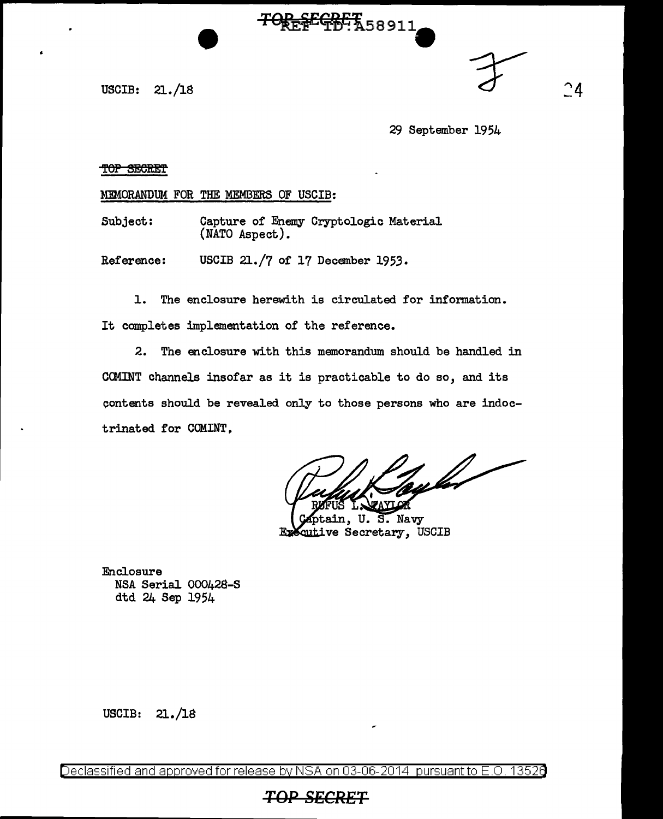USCIB: 21. /18

29 September 1954

 $^{\small{\textsf{a}}}$ 

#### TOP SECRET

MEMORANDUM FOR THE MEMBERS OF USCIB:

Subject: Capture of Enemy Cryptologic Material (NATO Aspect).

Reference: USCIB 21./7 of 17 December 1953.

1. The enclosure herewith is circulated for information. It completes implementation of the reference.

TOREFEGRET 58911

2. The enclosure with this memorandum should be handled in CCMINT channels insofar as it is practicable to do so, and its contents should be revealed only to those persons who are indoctrinated for COMINT,

tykt

U. S. Navy n, cutive Secretary, USCIB

Enclosure NSA Serial 000428-S dtd 24 Sep 1954

 $USCIB: 21./18$ 

Declassified and approved for release by NSA on 03-06-2014 pursuant to E.O. 13526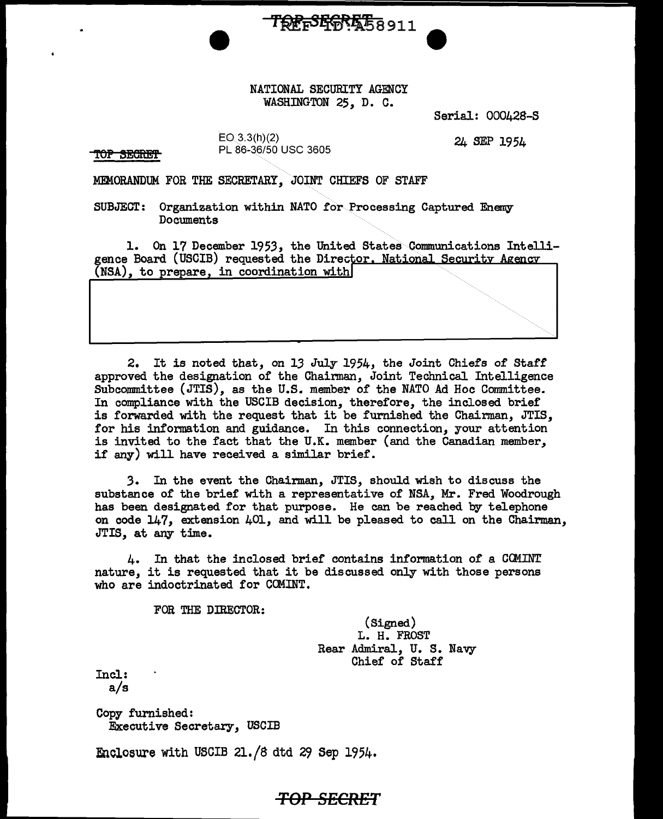NATIONAL SECURITY AGENCY WASHINGTON 25, D. C.

TREFSERE 58911

Serial: 000428-S

OP SECRET

 $EO(3.3(h)(2)$ PL 86•36/50 USC 3605

24 SEP 1954

MEMORANDUM FOR THE SECRETARY, JOINT CHIEFS OF STAFF

SUBJECT: Organization within NATO for Processing Captured Enemy Documents

1. On 17 December 1953, the United States Communications Intelligence Board (USCIB) requested the Director. National Security Agency  $(NSA)$ , to prepare, in coordination with

2. It is noted that, on 13 July 1954, the Joint Chiefs of Staff approved the designation of the Chainnan, Joint Technical Intelligence Subcommittee (JTIS), as the U.S. member of the NATO Ad Hoc Committee. In compliance with the USCIB decision, therefore, the inclosed brief is forwarded with the request that it be furnished the Chairman, JTIS, for his information and guidance. In this connection, your attention is invited to the fact that the U.K. member (and the Canadian member, if any) will have received a similar brief.

*3.* In the event the Chairman, JTIS, should wish to discuss the substance of the brief with a representative of NSA, Mr. Fred Woodrough has been designated for that purpose. He can be reached by telephone on code 147, extension 401, and will be pleased to call on the Chairman, JTIS, at any time.

4. In that the inclosed brief contains information of a GCMINT nature, it is requested that it be discussed only with those persons who are indoctrinated for COMINT.

*TOP SECRET* 

FOR THE DIRECTOR:

(Signed) L. H. FROST Rear Admiral, U. S. Navy Chief of Staff

Incl: a/s

Copy furnished: Executive Secretary, USCIB

Enclosure with USCIB 21./8 dtd 29 Sep 1954.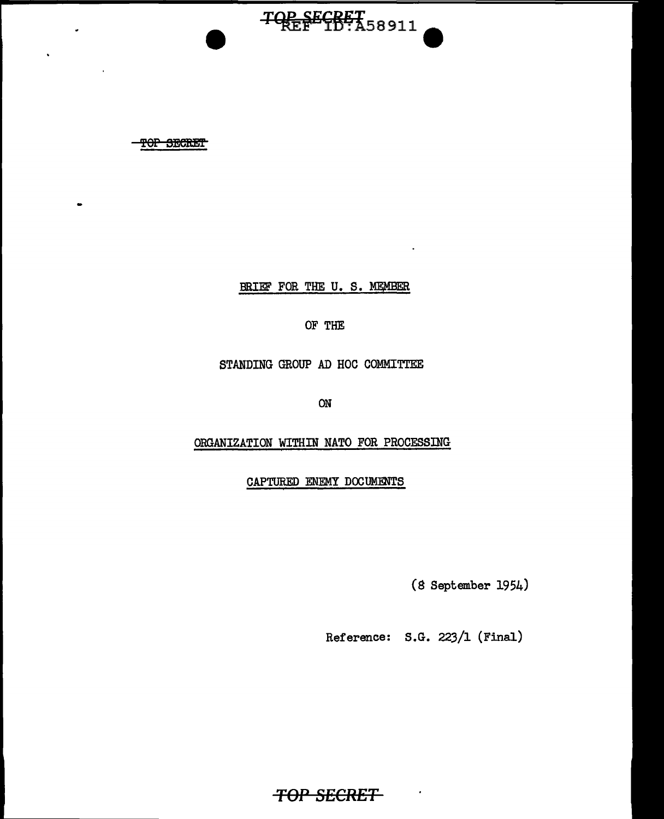TOP SECRET

BRIEF FOR THE U. S. MEMBER

TOP SECRET<br>TOP SECRET<br>D:A58911

OF THE

STANDING GROUP AD HOC COMMITTEE

ON

ORGANIZATION WITHIN NATO FOR PROCESSING

CAPTURED ENEMY DOCUMENTS

(8 September 1954)

Reference: S.G. 223/1 (Final)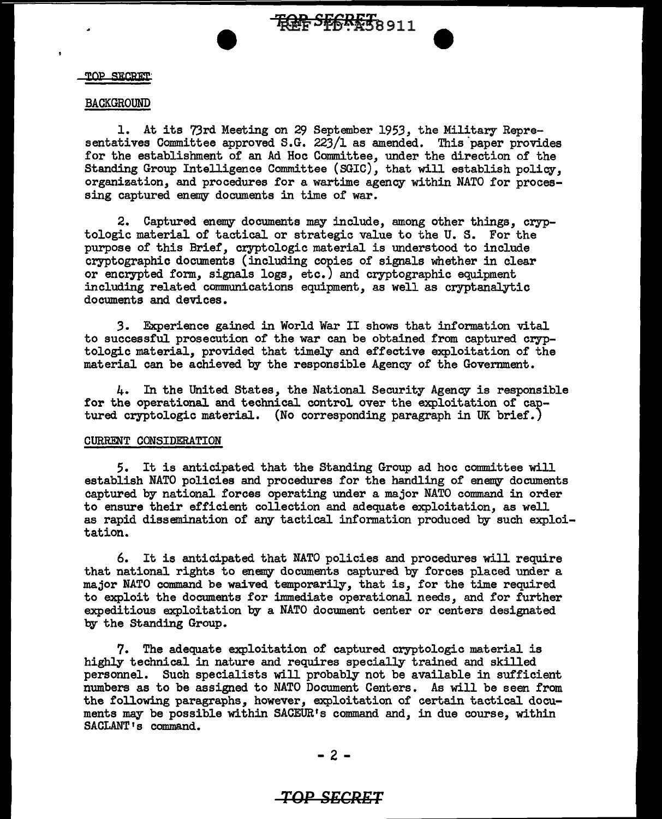#### TOP SECRET

#### BACKGROUND

1. At its 73rd Meeting on 29 September 1953, the Military Representatives Committee approved S.G. 223/1 as amended. This paper provides for the establishment of an Ad Hoc Connnittee, under the direction of the Standing Group Intelligence Committee (SGIC), that will establish policy, organization, and procedures for a wartime agency within NATO for processing captured enemy documents in time of war.

2. Captured enemy documents may include, among other things, cryptologic material of tactical or strategic value to the U. S. For the purpose of this Brief, cryptologic material is understood to include cryptographic documents (including copies of signals whether in clear or encrypted form, signals logs, etc.) and cryptographic equipment including related communications equipment, as well as cryptanalytic documents and devices.

*3.* Experience gained in World War II shows that information vital to successful prosecution of the war can be obtained from captured cryptologic material, provided that timely and effective exploitation of the material can be achieved by the responsible Agency of the Government.

4. In the United States, the National Security Agency is responsible for the operational and technical control over the exploitation of captured cryptologic material. (No corresponding paragraph in UK brief.)

#### CURRENT CONSIDERATION

*5.* It is anticipated that the Standing Group ad hoc committee will establish NATO policies and procedures for the handling of enemy documents captured by national forces operating under a major NATO command in order to ensure their efficient collection and adequate exploitation, as well as rapid dissemination of any tactical information produced by such exploitation.

6. It is anticipated that NATO policies and procedures will require that national rights to enemy documents captured by forces placed under a major NATO command be waived temporarily, that is, for the time required to exploit the documents for immediate operational needs, and for further expeditious exploitation by a NATO document center or centers designated by the Standing Group.

7. The adequate exploitation of captured cryptologic material is highly technical in nature and requires specially trained and skilled personnel. Such specialists will probably not be available in sufficient numbers as to be assigned to NATO Document Centers. As will be seen from the following paragraphs, however, exploitation of certain tactical documents may be possible within SACEUR's command and, in due course, within SACLANT's command.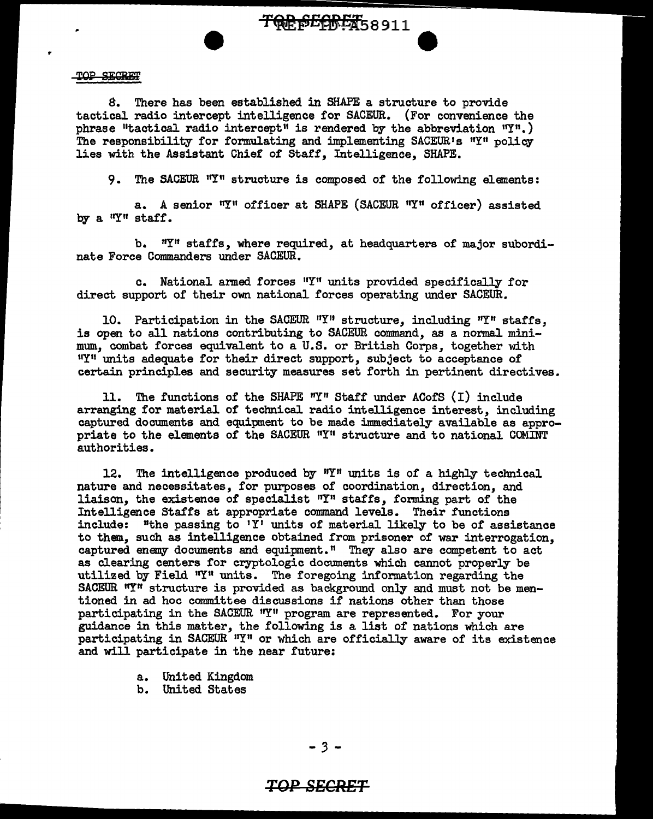**TRE SECRET**58911

#### TOP SECRET

r

8. There has been established. in SHAPE a structure to provide tactical radio intercept intelligence for SACEUR. (For convenience the phrase "tactical radio intercept" is rendered by the abbreviation  $T^n$ .) The responsibility for formulating and implementing SACEUR's "Y" policy lies with the Assistant Chief of Staff, Intelligence, SHAPE.

9. The SACEUR "Y" structure is composed of the following elements:

a. A senior "Y" officer at SHAPE (SACEUR "Y" officer) assisted by a "Y" staff.

b. "I" staffs, where required, at headquarters of major subordinate Force Commanders under SACEUR.

c. National armed forces "Y" units provided specifically for direct support of their own national forces operating under SACEUR.

10. Participation in the SACEUR "Y" structure, including "Y" staffs, is open to all nations contributing to SACEUR command, as a normal minimum, combat forces equivalent to a U.S. or British Corps, together with "Y" units adequate for their direct support, subject to acceptance of certain principles and security measures set forth in pertinent directives.

11. The functions of the SHAPE  $''Y''$  Staff under ACofS (I) include arranging for material of technical radio intelligence interest, including captured documents and equipment to be made immediately available as appropriate to the elements of the SACEUR "Y" structure and to national COMINT authorities.

12. The intelligence produced by  $'Y''$  units is of a highly technical nature and necessitates, for purposes of coordination, direction, and liaison, the existence of specialist "Y" staffs, forming part of the Intelligence Staffs at appropriate command levels. Their functions include: "the passing to 'Y' units of material likely to be of assistance to them, such as intelligence obtained from prisoner of war interrogation, captured enemy documents and equipment." They also are competent to act as clearing centers for cryptologic documents which cannot properly be utilized by Field "Y" units. The foregoing information regarding the SACEUR "Y" structure is provided as background only and must not be mentioned in ad hoc committee discussions if nations other than those participating in the SACEUR "Y" program are represented. For your guidance in this matter, the following is a list of nations which are participating in SACEUR "Y" or which are officially aware of its existence and will participate in the near future:

a. United Kingdom

b. United States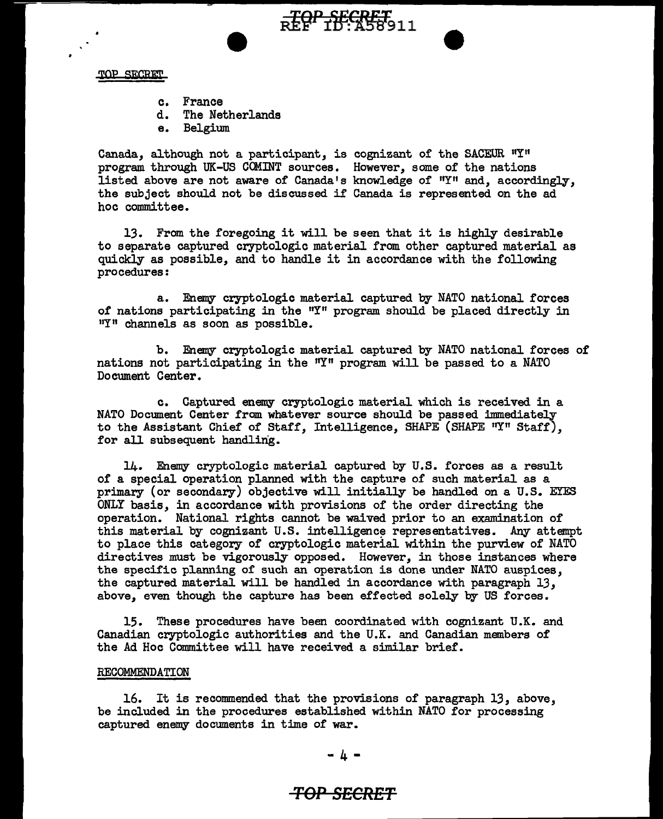

- c. France
- d. The Netherlands
- e. Belgium

Canada, although not a participant, is cognizant of the SACEUR "Y" program through UK-US CCMINT sources. However, some of the nations listed above are not aware of Canada's knowledge of 11Y" and, accordingly, the subject should not be discussed if Canada is represented on the ad hoc committee.

<del>.TOP SECRET</del><br>REF 10:A58911

13. From the foregoing it will be seen that it is highly desirable to separate captured cryptologic material from other captured material as quickly as possible, and to handle it in accordance with the following procedures:

a. Enemy cryptologic material captured by NATO national forces of nations participating in the "Y" program should be placed directly in "I" channels as soon as possible.

b. Enemy cryptologic material captured by NATO national forces of nations not participating in the  $n_{\text{I}}$ <sup>n</sup> program will be passed to a NATO Document Center.

c. Captured enemy cryptologic material which is received in a NATO Document Center from whatever source should be passed immediately to the Assistant Chief of Staff, Intelligence, SHAPE (SHAPE "Y" Staff), for all subsequent handling.

 $14.$  Enemy cryptologic material captured by  $U.S.$  forces as a result of a special operation planned with the capture of such material as a primary (or secondary) objective will initially be handled on a U.S. EYES ONLY basis, in accordance with provisions of the order directing the operation. National rights cannot be waived prior to an examination of this material by cognizant U.S. intelligence representatives. Any attempt to place this category of cryptologic material within the purview of NATO directives must be vigorously opposed. However, in those instances where the specific planning of such an operation is done under NATO auspices, the captured material will be handled in accordance with paragraph 13, above, even though the capture has been effected solely by US forces.

15. These procedures have been coordinated with cognizant U.K. and Canadian cryptologic authorities and the U.K. and Canadian members of the Ad Hoc Committee will have received a similar brief.

#### RECOMMENDATION

16. It is recommended that the provisions of paragraph 13, above, be included in the procedures established within NATO for processing captured enemy documents in time of war.

#### - 4 -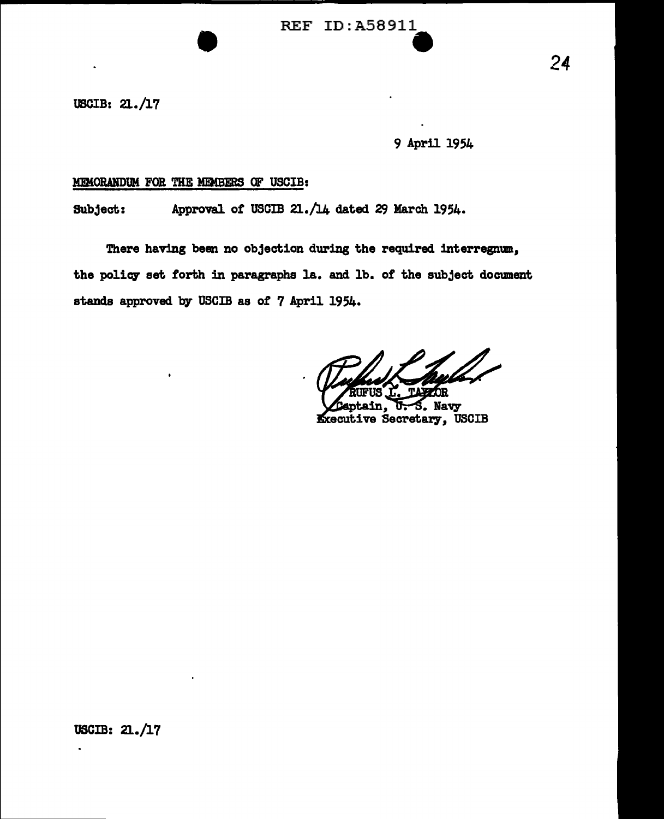USCIB: 21./17

9 April 1954

## M!MORANDllM FOR THE MEMBERS OF USCIB:

Subject: Approval of USCIB 21./14 dated 29 March 1954.

There having been no objection during the required interregnum., the policy set forth in paragraphs la. and lb. of the subject document stands approved by USCIB as of 7 April 1954.

**Navy** in. **Kxecutive Secretary, USCIB**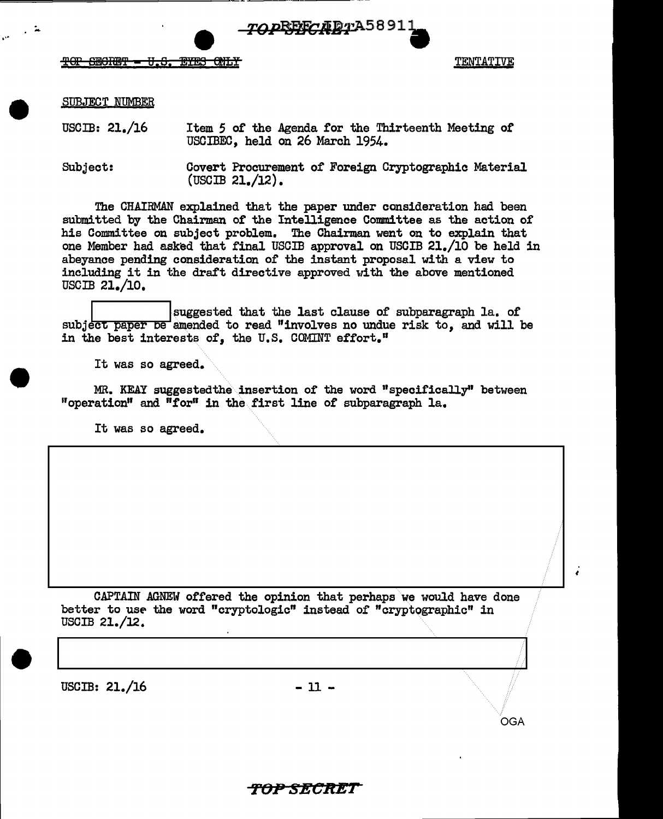

 $\begin{array}{ccc} \mathbf{r} & \mathbf{r} & \mathbf{r} & \mathbf{r} & \mathbf{r} & \mathbf{r} & \mathbf{r} & \mathbf{r} & \mathbf{r} & \mathbf{r} & \mathbf{r} & \mathbf{r} & \mathbf{r} & \mathbf{r} & \mathbf{r} & \mathbf{r} & \mathbf{r} & \mathbf{r} & \mathbf{r} & \mathbf{r} & \mathbf{r} & \mathbf{r} & \mathbf{r} & \mathbf{r} & \mathbf{r} & \mathbf{r} & \mathbf{r} & \mathbf{r} & \mathbf{r} & \mathbf{r} & \mathbf$  $\overline{r}$ OP 6ECRET - U.S. EYES ONLY TENTATIVE

OGA

'

SUBJECT NUMBER

USCIB: 21./16 Item 5 of the Agenda for the Thirteenth Meeting of USCIBEC, held on 26 March 1954.

===============~~=~~~------ - ------

Subject: Covert Procurement of Foreign Cryptographic Material (USCIB 21./12).

The CHAIRMAN explained that the paper under consideration had been submitted by the Chairman of the Intelligence Committee as the action of his Connnittee on subject problem. The Chairman went on to explain that one Member had asked that final USCIB approval on USCIB 21./10 be held in abeyance pending consideration of the instant proposal with a view to including it in the draft directive approved with the above mentioned USCIB 21./10,

suggested that the last clause of subparagraph la. of subject paper be amended to read "involves no undue risk to, and will be in the best interests of, the U.S. COMINT effort."

It was so agreed.

MR. KEAY suggestedthe insertion of the word "specifically" between "operation" and "£or" in the.first line of subparagraph la.

It was so agreed.

CAPTAIN AGNEW offered the opinion that perhaps we would have done better to use the word "cryptologic" instead of "cryptographic" in USCIB 21./12.

 $\text{USCIB: } 21. / 16$  - 11 -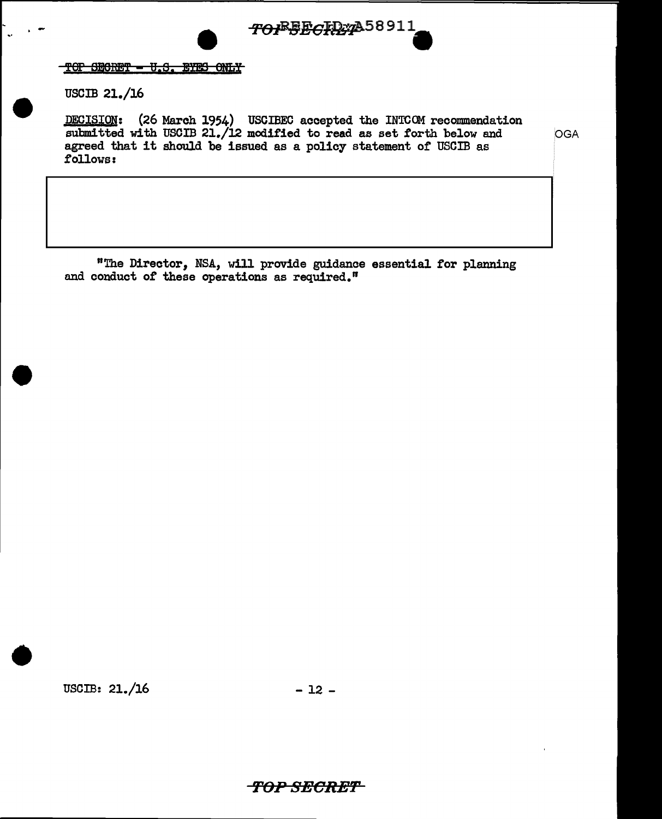

TOP SECRET - U.S. EYES ONLY

USCIB 21./16

.-

DECISION: (26 March 1954) USCIBEC accepted the INTCOM recommendation submitted with USCIB 21./12 modified to read as set forth below and OGA agreed that it should be issued as a policy statement or USCIB as follows:

"The Director, NSA, will provide guidance essential for planning and conduct of these operations as required."

 $\text{USCIB: } 21.46$  - 12 -

•

**'/'OP 8ECRE'F**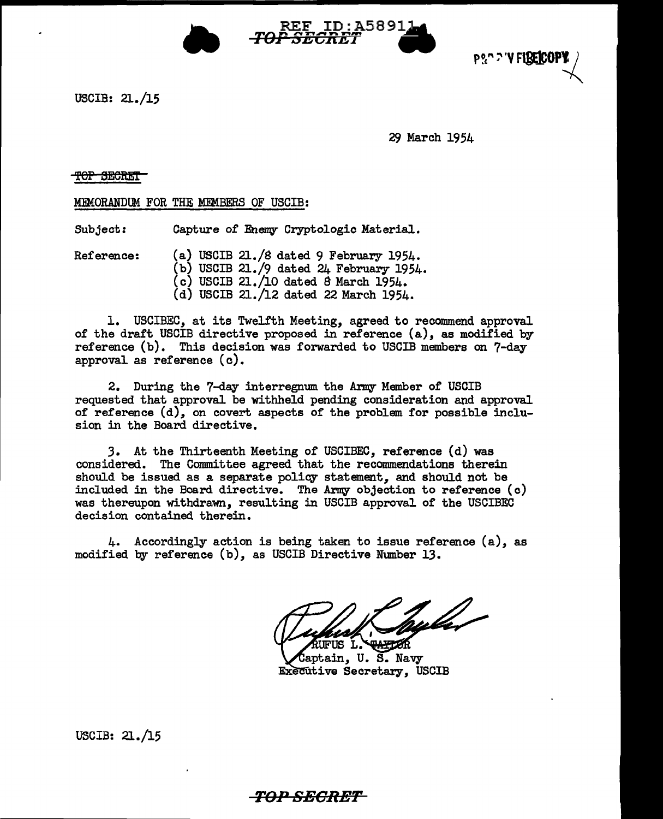



USCIB: 21./15

29 March 1954

#### T<del>OP SECRET</del>

MEMORANDUM FOR THE MEMBERS OF USCIB:

Subject: Capture of Enemy Cryptologic Material.

Reference: (a) USCIB 21./S dated 9 February 1954.  $(b)$  USCIB 21./9 dated 24 February 1954.  $(c)$  USCIB 21./10 dated 8 March 1954. (d) USCIB 21./12 dated 22 March 1954.

1. USCIBEC, at its Twelfth Meeting, agreed to recommend approval of the draft USCIB directive proposed in reference (a), as modified by reference (b). This decision was forwarded to USCIB members on 7-day approval as reference (c).

2. During the 7-day interregnum the Army Member of USCIB requested that approval be withheld pending consideration and approval of reference (d), on covert aspects of the problem for possible inclusion in the Board directive.

3. At the Thirteenth Meeting of USCIBEC, reference (d) was considered. The Committee agreed that the recommendations therein should be issued as a separate policy statement, and should not be included in the Board directive. The Army objection to reference (c) was thereupon withdrawn, resulting in USCIB approval of the USCIBEC decision contained therein.

4. Accordingly action is being taken to issue reference (a), as modified by reference (b), as USCIB Directive Nmnber 13.

huler **TANTOR** FUS L.

Captain, U.S. Navy **Executive Secretary, USCIB** 

USCIB: 21./15

# *-TOP SEGRET*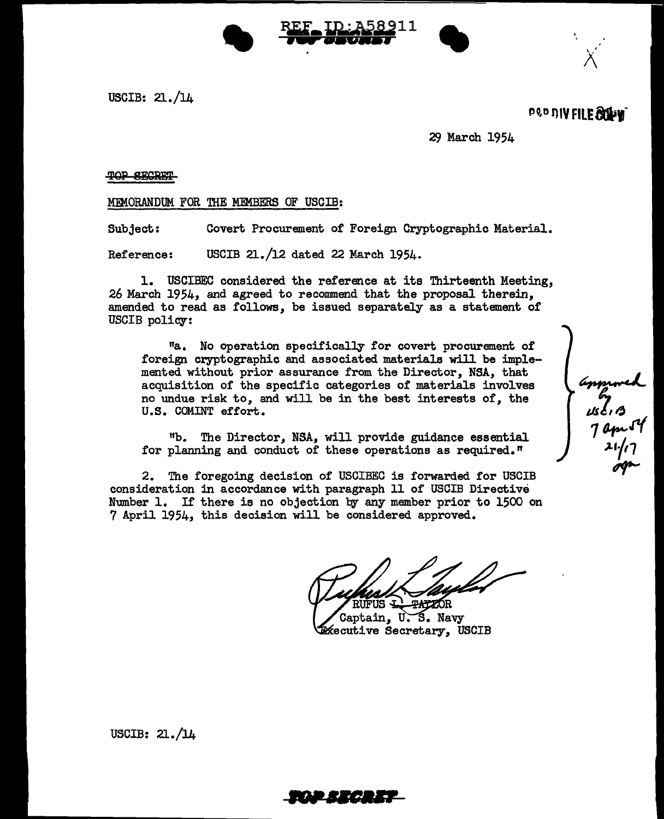



po,o OIV **FILE&iJtf** 

" x

mproved<br>use of<br>1 apr 54<br>21/17

29 March 1954

TOP SECRET

MEMORANDUM FOR THE MEMBERS OF USCIB:

Subject: Covert Procurement of Foreign Cryptographic Material.

Reference: USCIB 21./12 dated 22 March 1954.

1. USCIBEC considered the reference at its Thirteenth Meeting, 26 March 1954, and agreed to recommend that the proposal therein, amended to read as follows, be issued separately as a statement of USCIB policy:

<sup>11</sup>a. No operation specifically for covert procurement of foreign cryptographic and associated materials will be implemented without prior assurance from the Director, NSA, that acquisition of the specific categories of materials involves no undue risk to, and will be in the best interests of, the U.S. COMINT effort.

"b. The Director, NSA, will provide guidance essential for planning and conduct of these operations as required."

2. The foregoing decision of USCIBEC is forwarded for USCIB consideration in accordance with paragraph 11 of USCIB Directive Number l. If there is no objection by any member prior to 1500 on 7 April 1954, this decision will be considered approved.

Captain, U.S. Navy kecutive Secretary, USCIB

USCIB: 21./14

- •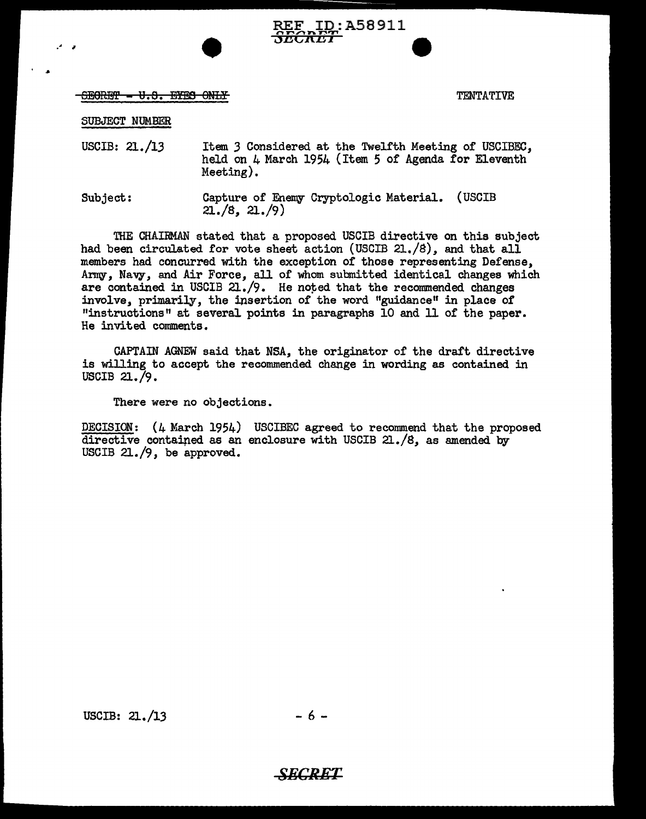# REF ID:A58911<br><del>*SECRET*</del>

# $f_{\rm ISB}$  in the line of the line of the line of the line of the line of the line of the line of the line of the line of the line of the line of the line of the line of the line of the line of the line of the line of the

SUBJECT NUMBER

.• <sup>I</sup>

USCIB: 21./13 Item *3* Considered at the Twelfth Meeting of USCIBEC, held on 4 March 1954 (Item 5 of Agenda for Eleventh Meeting).

Subject: Capture of Enemy Cryptologic Material. (USCIB  $21.78$ ,  $21.79$ 

THE CHAIRMAN stated that a proposed USCIB directive on this subject had been circulated for vote sheet action (USCIB 21./8), and that all members had concurred with the exception of those representing Defense, Army, Navy, and Air Force, all of whom submitted identical changes which are contained in USCIB 21./9. He noted that the recommended changes involve, primarily, the insertion of the word "guidance" in place of "instructions" at several points in paragraphs 10 and ll of the paper. He invited comments.

CAPTAIN AGNEW said that NSA, the originator of the draft directive is willing to accept the recommended change in wording as contained in USCIB  $21.79.$ 

There were no objections.

DECISION: (4 March 1954) USCIBEC agreed to recommend that the proposed directive contained as an enclosure with USCIB  $21./8$ , as amended by USCIB 21./9, be approved.

USCIB:  $21.13 - 6 -$ 

*SECRET*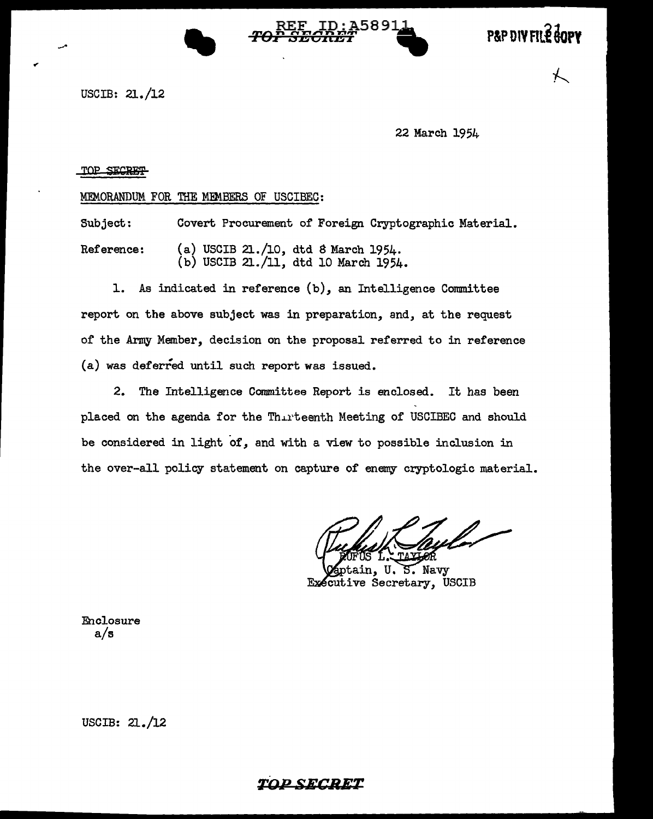



USCIB: 21./12

22 March 1954

#### TOP SECRET

MEMORANDUM FOR THE MEMBERS OF USCIBEC:

Subject: Reference: Covert Procurement of Foreign Cryptographic Material. (a) USCIB 21./10, dtd S March 1954. (b) USCIB 21./11, dtd 10 March 1954.

1. As indicated in reference (b), an Intelligence Committee report on the above subject was in preparation, and, at the request of the Army Member, decision on the proposal referred to in reference (a) was deferred until such report was issued.

2. The Intelligence Committee Report is enclosed. It has been placed on the agenda for the Thirteenth Meeting of USCIBEC and should be considered in light of, and with a view to possible inclusion in the over-all policy statement on capture of enemy cryptologic material.

U. S. Navy Executive Secretary, USCIB

Enclosure a/s

USCIB: 21./12

# **TDPSECRE-T**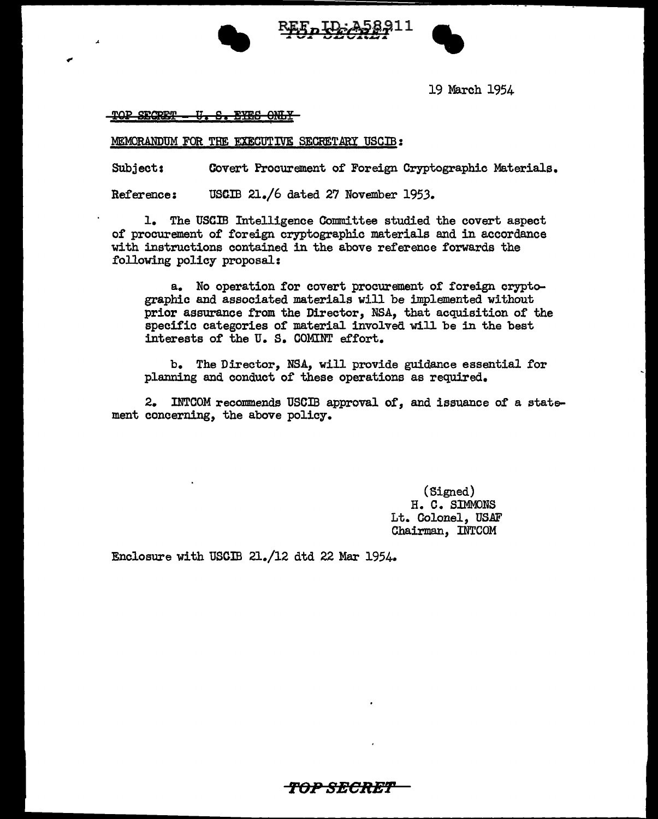





19 March 1954

<u>TOP SECRET - U. S. EYES ONLY</u>

..

MEMORANDUM FOR THE EXECUTIVE SECRETARY USCIB:

Subject: Covert Procurement of Foreign Cryptographic Materials.

Reference: USCIB 21./6 dated 27 November 1953.

1. The USCIB Intelligence Gommittee studied the covert aspect of procurement of foreign cryptographic materials and in accordance with instructions contained in the above reference forwards the following policy proposal:

a. No operation for covert procurement of foreign cryptographic and associated materials will be implemented without prior assurance from the Director, NSA, that acquisition of the specific categories of material involved will be in the best interests of the u. s. COMINT effort.

b. The Director, NSA, will provide guidance essential for planning and conduct of these operations as required.

2. INTCOM recommends USCIB approval of, and issuance of a statement concerning, the above policy.

> (Signed) H. C. SIMMONS Lt. Colonel, USAF Chairman, INTCOM

Enclosure with USCIB 21./12 dtd 22 Mar 1954.

*f'O-P* **SBCR-Ef'**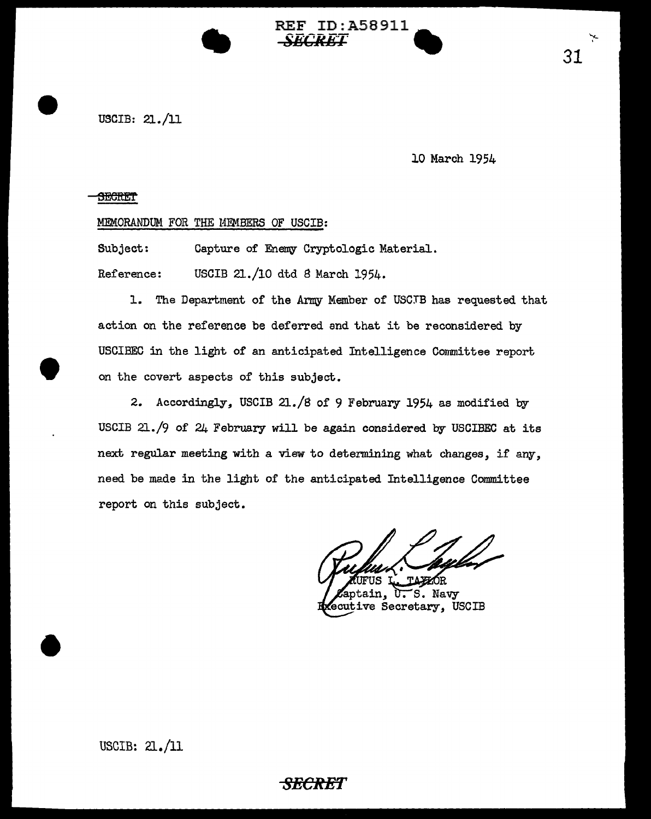

lO March 1954

#### **SEGRET**

•

•

### MEMORANDUM FOR THE MEMBERS OF USCIB:

•

Subject: Capture of Enemy Cryptologic Material. Reference: USCIB 21./10 dtd *B* March 1954.

1. The Department of the Army Member of USCTB has requested that action on the reference be deferred and that it be reconsidered by USCIBEC in the light of an anticipated Intelligence Committee report on the covert aspects of this subject.

REF ID:A58911

*SEC'RET* •

2. Accordingly, USCIB 21./8 of 9 February 1954 as modified by USCIB 21./9 of 24 February will be again considered by USCIBEC at its next regular meeting with a view to determining what changes, if any, need be made in the light of the anticipated Intelligence Committee report on this subject.

S. Navy ain. ᠧ ecutive Secretary, USCIB

.....\_ .